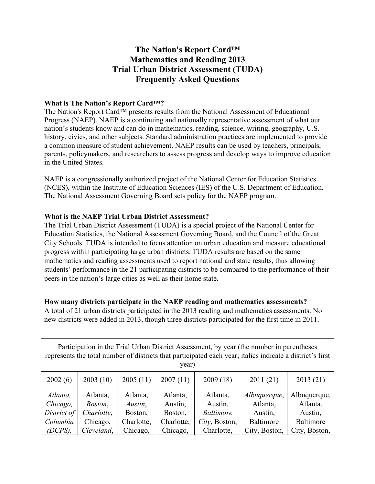# **The Nation's Report Card™ Mathematics and Reading 2013 Trial Urban District Assessment (TUDA) Frequently Asked Questions**

## **What is The Nation's Report Card™?**

 Progress (NAEP). NAEP is a continuing and nationally representative assessment of what our The Nation's Report Card™ presents results from the National Assessment of Educational nation's students know and can do in mathematics, reading, science, writing, geography, U.S. history, civics, and other subjects. Standard administration practices are implemented to provide a common measure of student achievement. NAEP results can be used by teachers, principals, parents, policymakers, and researchers to assess progress and develop ways to improve education in the United States.

 (NCES), within the Institute of Education Sciences (IES) of the U.S. Department of Education. NAEP is a congressionally authorized project of the National Center for Education Statistics The National Assessment Governing Board sets policy for the NAEP program.

## **What is the NAEP Trial Urban District Assessment?**

The Trial Urban District Assessment (TUDA) is a special project of the National Center for Education Statistics, the National Assessment Governing Board, and the Council of the Great City Schools. TUDA is intended to focus attention on urban education and measure educational progress within participating large urban districts. TUDA results are based on the same mathematics and reading assessments used to report national and state results, thus allowing students' performance in the 21 participating districts to be compared to the performance of their peers in the nation's large cities as well as their home state.

#### **How many districts participate in the NAEP reading and mathematics assessments?**

 A total of 21 urban districts participated in the 2013 reading and mathematics assessments. No new districts were added in 2013, though three districts participated for the first time in 2011.

| Participation in the Trial Urban District Assessment, by year (the number in parentheses<br>represents the total number of districts that participated each year; italics indicate a district's first<br>year) |                                                                      |                                              |                                              |                                                          |                                                  |                                                  |  |  |
|----------------------------------------------------------------------------------------------------------------------------------------------------------------------------------------------------------------|----------------------------------------------------------------------|----------------------------------------------|----------------------------------------------|----------------------------------------------------------|--------------------------------------------------|--------------------------------------------------|--|--|
| 2002(6)                                                                                                                                                                                                        | 2003(10)<br>2005(11)<br>2007(11)<br>2009(18)<br>2011(21)<br>2013(21) |                                              |                                              |                                                          |                                                  |                                                  |  |  |
| Atlanta,<br>Chicago,<br>District of<br>Columbia                                                                                                                                                                | Atlanta,<br><i>Boston</i> ,<br>Charlotte,<br>Chicago,                | Atlanta,<br>Austin,<br>Boston,<br>Charlotte, | Atlanta,<br>Austin,<br>Boston,<br>Charlotte, | Atlanta,<br>Austin,<br><b>Baltimore</b><br>City, Boston, | Albuquerque,<br>Atlanta,<br>Austin,<br>Baltimore | Albuquerque,<br>Atlanta,<br>Austin,<br>Baltimore |  |  |
| $(DCPS)$ ,                                                                                                                                                                                                     | Cleveland,                                                           | Chicago,                                     | Chicago,                                     | Charlotte,                                               | City, Boston,                                    | City, Boston,                                    |  |  |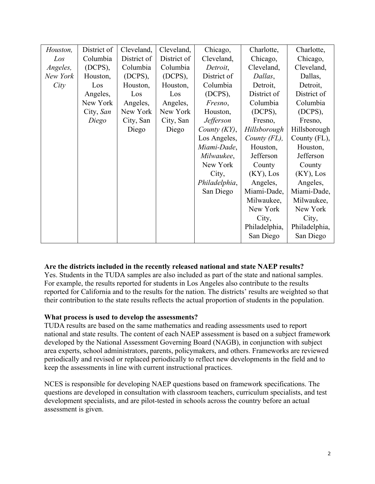| Houston,        | District of | Cleveland,  | Cleveland,  | Chicago,         | Charlotte,    | Charlotte,    |
|-----------------|-------------|-------------|-------------|------------------|---------------|---------------|
| Los             | Columbia    | District of | District of | Cleveland,       | Chicago,      | Chicago,      |
| <i>Angeles,</i> | (DCPS),     | Columbia    | Columbia    | Detroit,         | Cleveland,    | Cleveland,    |
| New York        | Houston,    | (DCPS),     | (DCPS),     | District of      | Dallas,       | Dallas,       |
| City            | Los         | Houston,    | Houston,    | Columbia         | Detroit.      | Detroit,      |
|                 | Angeles,    | Los         | Los         | $(DCPS)$ ,       | District of   | District of   |
|                 | New York    | Angeles,    | Angeles,    | Fresno,          | Columbia      | Columbia      |
|                 | City, San   | New York    | New York    | Houston,         | (DCPS),       | (DCPS),       |
|                 | Diego       | City, San   | City, San   | <b>Jefferson</b> | Fresno,       | Fresno,       |
|                 |             | Diego       | Diego       | County $(KY)$ ,  | Hillsborough  | Hillsborough  |
|                 |             |             |             | Los Angeles,     | County (FL),  | County (FL),  |
|                 |             |             |             | Miami-Dade,      | Houston,      | Houston,      |
|                 |             |             |             | Milwaukee,       | Jefferson     | Jefferson     |
|                 |             |             |             | New York         | County        | County        |
|                 |             |             |             | City,            | $(KY)$ , Los  | $(KY)$ , Los  |
|                 |             |             |             | Philadelphia,    | Angeles,      | Angeles,      |
|                 |             |             |             | San Diego        | Miami-Dade,   | Miami-Dade,   |
|                 |             |             |             |                  | Milwaukee,    | Milwaukee,    |
|                 |             |             |             |                  | New York      | New York      |
|                 |             |             |             |                  | City,         | City,         |
|                 |             |             |             |                  | Philadelphia, | Philadelphia, |
|                 |             |             |             |                  | San Diego     | San Diego     |

#### **Are the districts included in the recently released national and state NAEP results?**

Yes. Students in the TUDA samples are also included as part of the state and national samples. For example, the results reported for students in Los Angeles also contribute to the results reported for California and to the results for the nation. The districts' results are weighted so that their contribution to the state results reflects the actual proportion of students in the population.

#### **What process is used to develop the assessments?**

 national and state results. The content of each NAEP assessment is based on a subject framework periodically and revised or replaced periodically to reflect new developments in the field and to TUDA results are based on the same mathematics and reading assessments used to report developed by the National Assessment Governing Board (NAGB), in conjunction with subject area experts, school administrators, parents, policymakers, and others. Frameworks are reviewed keep the assessments in line with current instructional practices.

NCES is responsible for developing NAEP questions based on framework specifications. The questions are developed in consultation with classroom teachers, curriculum specialists, and test development specialists, and are pilot-tested in schools across the country before an actual assessment is given.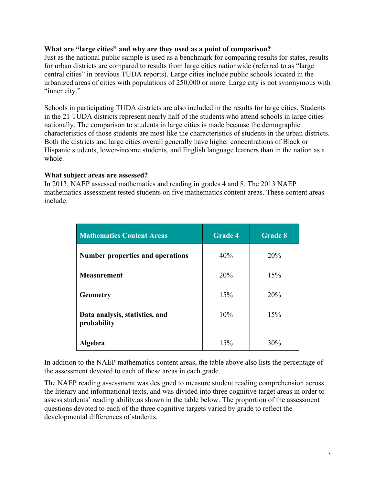## **What are "large cities" and why are they used as a point of comparison?**

 central cities" in previous TUDA reports). Large cities include public schools located in the "inner city." Just as the national public sample is used as a benchmark for comparing results for states, results for urban districts are compared to results from large cities nationwide (referred to as "large urbanized areas of cities with populations of 250,000 or more. Large city is not synonymous with

 Schools in participating TUDA districts are also included in the results for large cities. Students in the 21 TUDA districts represent nearly half of the students who attend schools in large cities nationally. The comparison to students in large cities is made because the demographic characteristics of those students are most like the characteristics of students in the urban districts. Both the districts and large cities overall generally have higher concentrations of Black or Hispanic students, lower-income students, and English language learners than in the nation as a whole.

## **What subject areas are assessed?**

 In 2013, NAEP assessed mathematics and reading in grades 4 and 8. The 2013 NAEP mathematics assessment tested students on five mathematics content areas. These content areas include:

| <b>Mathematics Content Areas</b>              | <b>Grade 4</b> | Grade 8 |
|-----------------------------------------------|----------------|---------|
| <b>Number properties and operations</b>       | 40%            | 20%     |
| <b>Measurement</b>                            | 20%            | 15%     |
| <b>Geometry</b>                               | 15%            | 20%     |
| Data analysis, statistics, and<br>probability | 10%            | 15%     |
| <b>Algebra</b>                                | 15%            | 30%     |

In addition to the NAEP mathematics content areas, the table above also lists the percentage of the assessment devoted to each of these areas in each grade.

The NAEP reading assessment was designed to measure student reading comprehension across the literary and informational texts, and was divided into three cognitive target areas in order to assess students' reading ability,as shown in the table below. The proportion of the assessment questions devoted to each of the three cognitive targets varied by grade to reflect the developmental differences of students.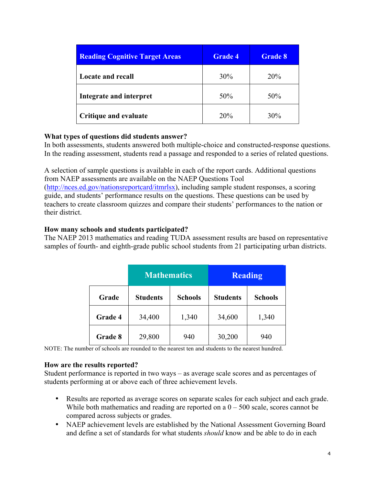| <b>Reading Cognitive Target Areas</b> | <b>Grade 4</b> | <b>Grade 8</b> |
|---------------------------------------|----------------|----------------|
| Locate and recall                     | 30%            | 20%            |
| Integrate and interpret               | 50%            | 50%            |
| <b>Critique and evaluate</b>          | 20%            | 30%            |

## **What types of questions did students answer?**

In both assessments, students answered both multiple-choice and constructed-response questions. In the reading assessment, students read a passage and responded to a series of related questions.

A selection of sample questions is available in each of the report cards. Additional questions from NAEP assessments are available on the NAEP Questions Tool (http://nces.ed.gov/nationsreportcard/itmrlsx), including sample student responses, a scoring guide, and students' performance results on the questions. These questions can be used by teachers to create classroom quizzes and compare their students' performances to the nation or their district.

## **How many schools and students participated?**

 The NAEP 2013 mathematics and reading TUDA assessment results are based on representative samples of fourth- and eighth-grade public school students from 21 participating urban districts.

|         | <b>Mathematics</b> |                | <b>Reading</b>  |                |  |
|---------|--------------------|----------------|-----------------|----------------|--|
| Grade   | <b>Students</b>    | <b>Schools</b> | <b>Students</b> | <b>Schools</b> |  |
| Grade 4 | 34,400             | 1,340          | 34,600          | 1,340          |  |
| Grade 8 | 29,800             | 940            | 30,200          | 940            |  |

NOTE: The number of schools are rounded to the nearest ten and students to the nearest hundred.

#### **How are the results reported?**

 Student performance is reported in two ways – as average scale scores and as percentages of students performing at or above each of three achievement levels.

- Results are reported as average scores on separate scales for each subject and each grade. While both mathematics and reading are reported on a  $0 - 500$  scale, scores cannot be compared across subjects or grades.
- NAEP achievement levels are established by the National Assessment Governing Board and define a set of standards for what students *should* know and be able to do in each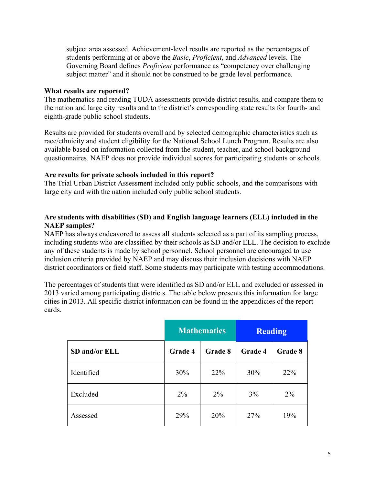students performing at or above the *Basic*, *Proficient*, and *Advanced* levels. The Governing Board defines *Proficient* performance as "competency over challenging subject area assessed. Achievement-level results are reported as the percentages of subject matter" and it should not be construed to be grade level performance.

## **What results are reported?**

 the nation and large city results and to the district's corresponding state results for fourth- and eighth-grade public school students. The mathematics and reading TUDA assessments provide district results, and compare them to

 race/ethnicity and student eligibility for the National School Lunch Program. Results are also Results are provided for students overall and by selected demographic characteristics such as available based on information collected from the student, teacher, and school background questionnaires. NAEP does not provide individual scores for participating students or schools.

## **Are results for private schools included in this report?**

 large city and with the nation included only public school students. The Trial Urban District Assessment included only public schools, and the comparisons with

# **Are students with disabilities (SD) and English language learners (ELL) included in the NAEP samples?**

NAEP has always endeavored to assess all students selected as a part of its sampling process, including students who are classified by their schools as SD and/or ELL. The decision to exclude any of these students is made by school personnel. School personnel are encouraged to use inclusion criteria provided by NAEP and may discuss their inclusion decisions with NAEP district coordinators or field staff. Some students may participate with testing accommodations.

 2013 varied among participating districts. The table below presents this information for large cities in 2013. All specific district information can be found in the appendicies of the report The percentages of students that were identified as SD and/or ELL and excluded or assessed in cards.

|               | <b>Mathematics</b> |         | <b>Reading</b> |         |
|---------------|--------------------|---------|----------------|---------|
| SD and/or ELL | Grade 4            | Grade 8 | Grade 4        | Grade 8 |
| Identified    | 30%                | 22%     | 30%            | 22%     |
| Excluded      | $2\%$              | $2\%$   | 3%             | $2\%$   |
| Assessed      | 29%                | 20%     | 27%            | 19%     |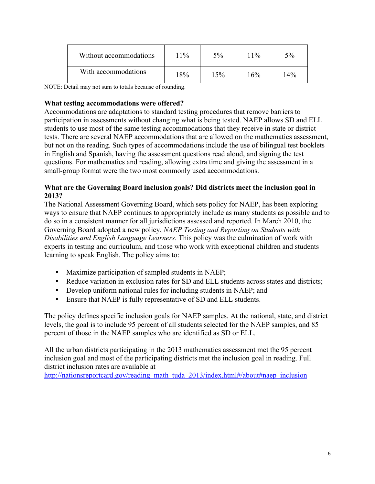| Without accommodations | $1\%$ | 5%  | 11% | 5%     |
|------------------------|-------|-----|-----|--------|
| With accommodations    | 18%   | 15% | 16% | $14\%$ |

NOTE: Detail may not sum to totals because of rounding.

# **What testing accommodations were offered?**

 students to use most of the same testing accommodations that they receive in state or district but not on the reading. Such types of accommodations include the use of bilingual test booklets small-group format were the two most commonly used accommodations. Accommodations are adaptations to standard testing procedures that remove barriers to participation in assessments without changing what is being tested. NAEP allows SD and ELL tests. There are several NAEP accommodations that are allowed on the mathematics assessment, in English and Spanish, having the assessment questions read aloud, and signing the test questions. For mathematics and reading, allowing extra time and giving the assessment in a

# **What are the Governing Board inclusion goals? Did districts meet the inclusion goal in 2013?**

The National Assessment Governing Board, which sets policy for NAEP, has been exploring ways to ensure that NAEP continues to appropriately include as many students as possible and to do so in a consistent manner for all jurisdictions assessed and reported. In March 2010, the Governing Board adopted a new policy, *NAEP Testing and Reporting on Students with Disabilities and English Language Learners*. This policy was the culmination of work with experts in testing and curriculum, and those who work with exceptional children and students learning to speak English. The policy aims to:

- Maximize participation of sampled students in NAEP;
- Reduce variation in exclusion rates for SD and ELL students across states and districts;
- Develop uniform national rules for including students in NAEP; and
- Ensure that NAEP is fully representative of SD and ELL students.

The policy defines specific inclusion goals for NAEP samples. At the national, state, and district levels, the goal is to include 95 percent of all students selected for the NAEP samples, and 85 percent of those in the NAEP samples who are identified as SD or ELL.

All the urban districts participating in the 2013 mathematics assessment met the 95 percent inclusion goal and most of the participating districts met the inclusion goal in reading. Full district inclusion rates are available at

http://nationsreportcard.gov/reading\_math\_tuda\_2013/index.html#/about#naep\_inclusion